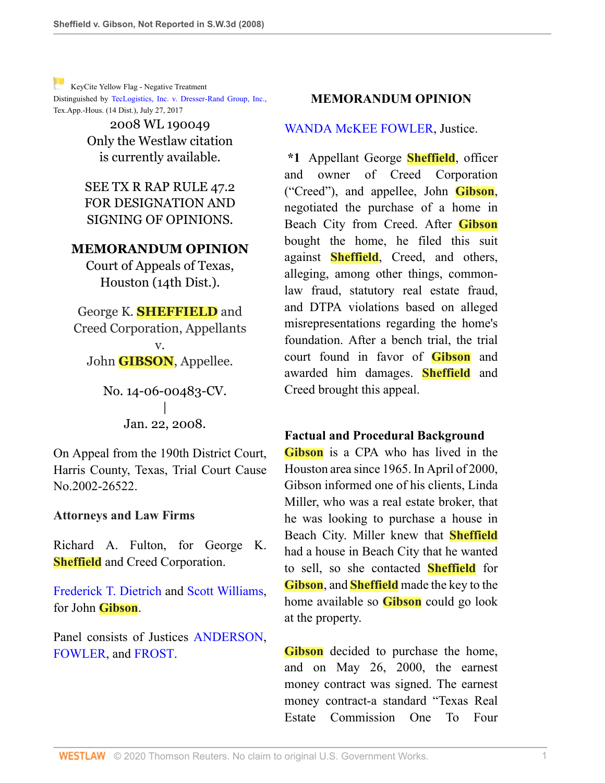[K](http://www.westlaw.com/Link/RelatedInformation/Flag?documentGuid=I5f17a3c6ca8811dc8dba9deb08599717&transitionType=Document&originationContext=docHeaderFlag&Rank=1&rs=cblt1.0&vr=3.0&contextData=(sc.Search))eyCite Yellow Flag - Negative Treatment Distinguished by [TecLogistics, Inc. v. Dresser-Rand Group, Inc.,](https://www.westlaw.com/Document/I4c1b19a0732811e794a1f7ff5c621124/View/FullText.html?navigationPath=RelatedInfo%2Fv4%2Fkeycite%2Fnav%2F%3Fguid%3DI4c1b19a0732811e794a1f7ff5c621124%26ss%3D2014826930%26ds%3D2042257506%26origDocGuid%3DI5f17a3c6ca8811dc8dba9deb08599717&listSource=RelatedInfo&list=NegativeCitingReferences&rank=0&originationContext=docHeader&transitionType=NegativeTreatment&contextData=%28sc.Search%29&VR=3.0&RS=cblt1.0 ) Tex.App.-Hous. (14 Dist.), July 27, 2017

> 2008 WL 190049 Only the Westlaw citation is currently available.

SEE TX R RAP RULE 47.2 FOR DESIGNATION AND SIGNING OF OPINIONS.

#### **MEMORANDUM OPINION**

Court of Appeals of Texas, Houston (14th Dist.).

George K. **SHEFFIELD** and Creed Corporation, Appellants v. John **GIBSON**, Appellee.

> No. 14-06-00483-CV. | Jan. 22, 2008.

On Appeal from the 190th District Court, Harris County, Texas, Trial Court Cause No.2002-26522.

#### **Attorneys and Law Firms**

Richard A. Fulton, for George K. **Sheffield** and Creed Corporation.

[Frederick T. Dietrich](http://www.westlaw.com/Link/Document/FullText?findType=h&pubNum=176284&cite=0302315701&originatingDoc=I5f17a3c6ca8811dc8dba9deb08599717&refType=RQ&originationContext=document&vr=3.0&rs=cblt1.0&transitionType=DocumentItem&contextData=(sc.Search)) and [Scott Williams,](http://www.westlaw.com/Link/Document/FullText?findType=h&pubNum=176284&cite=0196361401&originatingDoc=I5f17a3c6ca8811dc8dba9deb08599717&refType=RQ&originationContext=document&vr=3.0&rs=cblt1.0&transitionType=DocumentItem&contextData=(sc.Search)) for John **Gibson**.

Panel consists of Justices ANDERSON. [FOWLER](http://www.westlaw.com/Link/Document/FullText?findType=h&pubNum=176284&cite=0117416301&originatingDoc=I5f17a3c6ca8811dc8dba9deb08599717&refType=RQ&originationContext=document&vr=3.0&rs=cblt1.0&transitionType=DocumentItem&contextData=(sc.Search)), and [FROST](http://www.westlaw.com/Link/Document/FullText?findType=h&pubNum=176284&cite=0161489901&originatingDoc=I5f17a3c6ca8811dc8dba9deb08599717&refType=RQ&originationContext=document&vr=3.0&rs=cblt1.0&transitionType=DocumentItem&contextData=(sc.Search)).

#### **MEMORANDUM OPINION**

[WANDA McKEE FOWLER,](http://www.westlaw.com/Link/Document/FullText?findType=h&pubNum=176284&cite=0117416301&originatingDoc=I5f17a3c6ca8811dc8dba9deb08599717&refType=RQ&originationContext=document&vr=3.0&rs=cblt1.0&transitionType=DocumentItem&contextData=(sc.Search)) Justice.

**\*1** Appellant George **Sheffield**, officer and owner of Creed Corporation ("Creed"), and appellee, John **Gibson**, negotiated the purchase of a home in Beach City from Creed. After **Gibson** bought the home, he filed this suit against **Sheffield**, Creed, and others, alleging, among other things, commonlaw fraud, statutory real estate fraud, and DTPA violations based on alleged misrepresentations regarding the home's foundation. After a bench trial, the trial court found in favor of **Gibson** and awarded him damages. **Sheffield** and Creed brought this appeal.

#### **Factual and Procedural Background**

**Gibson** is a CPA who has lived in the Houston area since 1965. In April of 2000, Gibson informed one of his clients, Linda Miller, who was a real estate broker, that he was looking to purchase a house in Beach City. Miller knew that **Sheffield** had a house in Beach City that he wanted to sell, so she contacted **Sheffield** for **Gibson**, and **Sheffield** made the key to the home available so **Gibson** could go look at the property.

**Gibson** decided to purchase the home, and on May 26, 2000, the earnest money contract was signed. The earnest money contract-a standard "Texas Real Estate Commission One To Four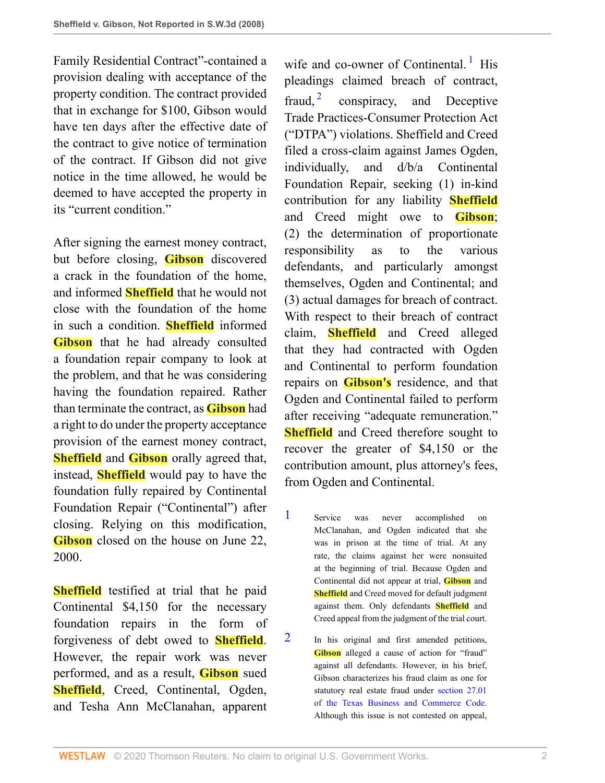Family Residential Contract"-contained a provision dealing with acceptance of the property condition. The contract provided that in exchange for \$100, Gibson would have ten days after the effective date of the contract to give notice of termination of the contract. If Gibson did not give notice in the time allowed, he would be deemed to have accepted the property in its "current condition"

After signing the earnest money contract, but before closing, **Gibson** discovered a crack in the foundation of the home, and informed **Sheffield** that he would not close with the foundation of the home in such a condition. **Sheffield** informed **Gibson** that he had already consulted a foundation repair company to look at the problem, and that he was considering having the foundation repaired. Rather than terminate the contract, as **Gibson** had a right to do under the property acceptance provision of the earnest money contract, **Sheffield** and **Gibson** orally agreed that, instead, **Sheffield** would pay to have the foundation fully repaired by Continental Foundation Repair ("Continental") after closing. Relying on this modification, **Gibson** closed on the house on June 22, 2000.

**Sheffield** testified at trial that he paid Continental \$4,150 for the necessary foundation repairs in the form of forgiveness of debt owed to **Sheffield**. However, the repair work was never performed, and as a result, **Gibson** sued **Sheffield**, Creed, Continental, Ogden, and Tesha Ann McClanahan, apparent

<span id="page-1-3"></span><span id="page-1-2"></span>wife and co-owner of Continental.<sup>[1](#page-1-0)</sup> His pleadings claimed breach of contract, fraud,  $2\overline{ }$  $2\overline{ }$  conspiracy, and Deceptive Trade Practices-Consumer Protection Act ("DTPA") violations. Sheffield and Creed filed a cross-claim against James Ogden, individually, and d/b/a Continental Foundation Repair, seeking (1) in-kind contribution for any liability **Sheffield** and Creed might owe to **Gibson**; (2) the determination of proportionate responsibility as to the various defendants, and particularly amongst themselves, Ogden and Continental; and (3) actual damages for breach of contract. With respect to their breach of contract claim, **Sheffield** and Creed alleged that they had contracted with Ogden and Continental to perform foundation repairs on **Gibson's** residence, and that Ogden and Continental failed to perform after receiving "adequate remuneration." **Sheffield** and Creed therefore sought to recover the greater of \$4,150 or the contribution amount, plus attorney's fees, from Ogden and Continental.

- <span id="page-1-0"></span>[1](#page-1-2) Service was never accomplished on McClanahan, and Ogden indicated that she was in prison at the time of trial. At any rate, the claims against her were nonsuited at the beginning of trial. Because Ogden and Continental did not appear at trial, **Gibson** and **Sheffield** and Creed moved for default judgment against them. Only defendants **Sheffield** and Creed appeal from the judgment of the trial court.
- <span id="page-1-1"></span>[2](#page-1-3) In his original and first amended petitions, **Gibson** alleged a cause of action for "fraud" against all defendants. However, in his brief, Gibson characterizes his fraud claim as one for statutory real estate fraud under [section 27.01](http://www.westlaw.com/Link/Document/FullText?findType=L&pubNum=1000168&cite=TXBCS27.01&originatingDoc=I5f17a3c6ca8811dc8dba9deb08599717&refType=LQ&originationContext=document&vr=3.0&rs=cblt1.0&transitionType=DocumentItem&contextData=(sc.Search)) [of the Texas Business and Commerce Code.](http://www.westlaw.com/Link/Document/FullText?findType=L&pubNum=1000168&cite=TXBCS27.01&originatingDoc=I5f17a3c6ca8811dc8dba9deb08599717&refType=LQ&originationContext=document&vr=3.0&rs=cblt1.0&transitionType=DocumentItem&contextData=(sc.Search)) Although this issue is not contested on appeal,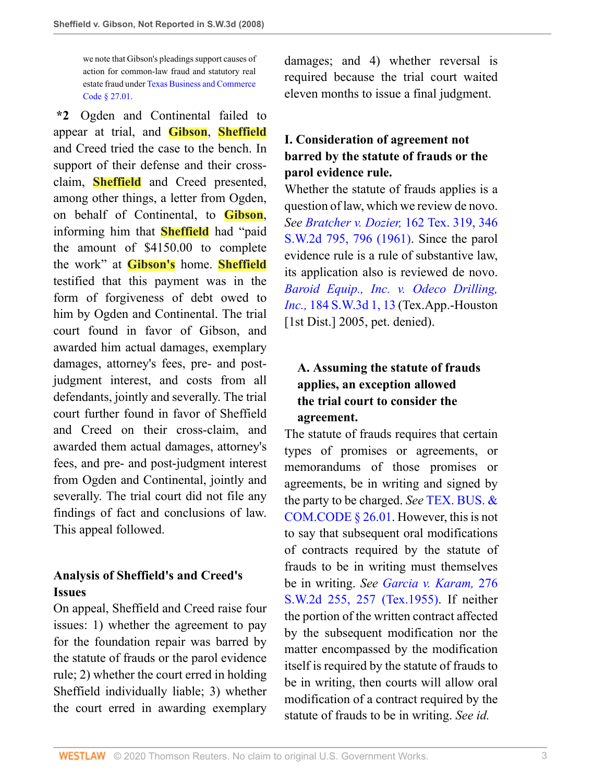we note that Gibson's pleadings support causes of action for common-law fraud and statutory real estate fraud under [Texas Business and Commerce](http://www.westlaw.com/Link/Document/FullText?findType=L&pubNum=1000168&cite=TXBCS27.01&originatingDoc=I5f17a3c6ca8811dc8dba9deb08599717&refType=LQ&originationContext=document&vr=3.0&rs=cblt1.0&transitionType=DocumentItem&contextData=(sc.Search)) [Code § 27.01](http://www.westlaw.com/Link/Document/FullText?findType=L&pubNum=1000168&cite=TXBCS27.01&originatingDoc=I5f17a3c6ca8811dc8dba9deb08599717&refType=LQ&originationContext=document&vr=3.0&rs=cblt1.0&transitionType=DocumentItem&contextData=(sc.Search)).

**\*2** Ogden and Continental failed to appear at trial, and **Gibson**, **Sheffield** and Creed tried the case to the bench. In support of their defense and their crossclaim, **Sheffield** and Creed presented, among other things, a letter from Ogden, on behalf of Continental, to **Gibson**, informing him that **Sheffield** had "paid the amount of \$4150.00 to complete the work" at **Gibson's** home. **Sheffield** testified that this payment was in the form of forgiveness of debt owed to him by Ogden and Continental. The trial court found in favor of Gibson, and awarded him actual damages, exemplary damages, attorney's fees, pre- and postjudgment interest, and costs from all defendants, jointly and severally. The trial court further found in favor of Sheffield and Creed on their cross-claim, and awarded them actual damages, attorney's fees, and pre- and post-judgment interest from Ogden and Continental, jointly and severally. The trial court did not file any findings of fact and conclusions of law. This appeal followed.

# **Analysis of Sheffield's and Creed's Issues**

On appeal, Sheffield and Creed raise four issues: 1) whether the agreement to pay for the foundation repair was barred by the statute of frauds or the parol evidence rule; 2) whether the court erred in holding Sheffield individually liable; 3) whether the court erred in awarding exemplary damages; and 4) whether reversal is required because the trial court waited eleven months to issue a final judgment.

# **I. Consideration of agreement not barred by the statute of frauds or the parol evidence rule.**

Whether the statute of frauds applies is a question of law, which we review de novo. *See [Bratcher v. Dozier,](http://www.westlaw.com/Link/Document/FullText?findType=Y&serNum=1961128800&pubNum=713&originatingDoc=I5f17a3c6ca8811dc8dba9deb08599717&refType=RP&fi=co_pp_sp_713_796&originationContext=document&vr=3.0&rs=cblt1.0&transitionType=DocumentItem&contextData=(sc.Search)#co_pp_sp_713_796)* 162 Tex. 319, 346 [S.W.2d 795, 796 \(1961\)](http://www.westlaw.com/Link/Document/FullText?findType=Y&serNum=1961128800&pubNum=713&originatingDoc=I5f17a3c6ca8811dc8dba9deb08599717&refType=RP&fi=co_pp_sp_713_796&originationContext=document&vr=3.0&rs=cblt1.0&transitionType=DocumentItem&contextData=(sc.Search)#co_pp_sp_713_796). Since the parol evidence rule is a rule of substantive law, its application also is reviewed de novo. *[Baroid Equip., Inc. v. Odeco Drilling,](http://www.westlaw.com/Link/Document/FullText?findType=Y&serNum=2007521362&pubNum=4644&originatingDoc=I5f17a3c6ca8811dc8dba9deb08599717&refType=RP&fi=co_pp_sp_4644_13&originationContext=document&vr=3.0&rs=cblt1.0&transitionType=DocumentItem&contextData=(sc.Search)#co_pp_sp_4644_13) Inc.,* [184 S.W.3d 1, 13](http://www.westlaw.com/Link/Document/FullText?findType=Y&serNum=2007521362&pubNum=4644&originatingDoc=I5f17a3c6ca8811dc8dba9deb08599717&refType=RP&fi=co_pp_sp_4644_13&originationContext=document&vr=3.0&rs=cblt1.0&transitionType=DocumentItem&contextData=(sc.Search)#co_pp_sp_4644_13) (Tex.App.-Houston [1st Dist.] 2005, pet. denied).

# **A. Assuming the statute of frauds applies, an exception allowed the trial court to consider the agreement.**

The statute of frauds requires that certain types of promises or agreements, or memorandums of those promises or agreements, be in writing and signed by the party to be charged. *See* [TEX. BUS. &](http://www.westlaw.com/Link/Document/FullText?findType=L&pubNum=1000168&cite=TXBCS26.01&originatingDoc=I5f17a3c6ca8811dc8dba9deb08599717&refType=LQ&originationContext=document&vr=3.0&rs=cblt1.0&transitionType=DocumentItem&contextData=(sc.Search)) [COM.CODE § 26.01.](http://www.westlaw.com/Link/Document/FullText?findType=L&pubNum=1000168&cite=TXBCS26.01&originatingDoc=I5f17a3c6ca8811dc8dba9deb08599717&refType=LQ&originationContext=document&vr=3.0&rs=cblt1.0&transitionType=DocumentItem&contextData=(sc.Search)) However, this is not to say that subsequent oral modifications of contracts required by the statute of frauds to be in writing must themselves be in writing. *See [Garcia v. Karam,](http://www.westlaw.com/Link/Document/FullText?findType=Y&serNum=1955102203&pubNum=713&originatingDoc=I5f17a3c6ca8811dc8dba9deb08599717&refType=RP&fi=co_pp_sp_713_257&originationContext=document&vr=3.0&rs=cblt1.0&transitionType=DocumentItem&contextData=(sc.Search)#co_pp_sp_713_257)* 276 [S.W.2d 255, 257 \(Tex.1955\).](http://www.westlaw.com/Link/Document/FullText?findType=Y&serNum=1955102203&pubNum=713&originatingDoc=I5f17a3c6ca8811dc8dba9deb08599717&refType=RP&fi=co_pp_sp_713_257&originationContext=document&vr=3.0&rs=cblt1.0&transitionType=DocumentItem&contextData=(sc.Search)#co_pp_sp_713_257) If neither the portion of the written contract affected by the subsequent modification nor the matter encompassed by the modification itself is required by the statute of frauds to be in writing, then courts will allow oral modification of a contract required by the statute of frauds to be in writing. *See id.*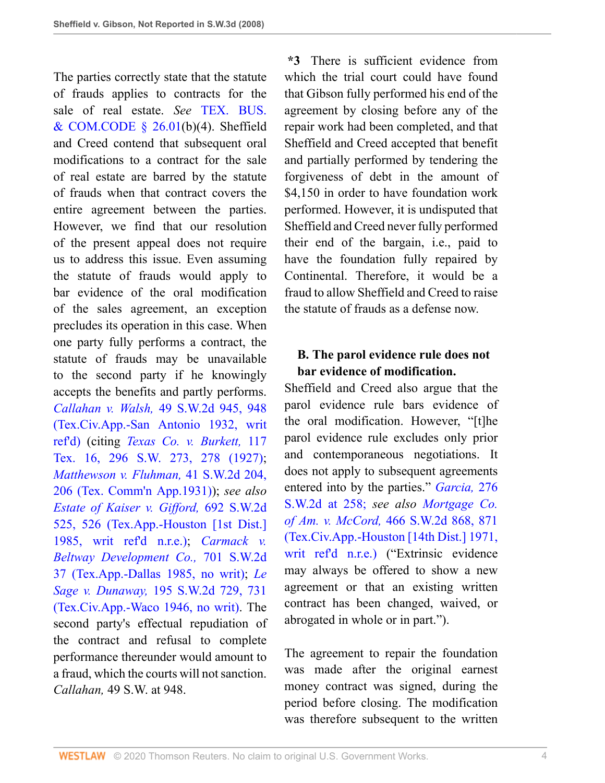The parties correctly state that the statute of frauds applies to contracts for the sale of real estate. *See* [TEX. BUS.](http://www.westlaw.com/Link/Document/FullText?findType=L&pubNum=1000168&cite=TXBCS26.01&originatingDoc=I5f17a3c6ca8811dc8dba9deb08599717&refType=LQ&originationContext=document&vr=3.0&rs=cblt1.0&transitionType=DocumentItem&contextData=(sc.Search))  $&$  COM.CODE  $\frac{8}{9}$  26.01(b)(4). Sheffield and Creed contend that subsequent oral modifications to a contract for the sale of real estate are barred by the statute of frauds when that contract covers the entire agreement between the parties. However, we find that our resolution of the present appeal does not require us to address this issue. Even assuming the statute of frauds would apply to bar evidence of the oral modification of the sales agreement, an exception precludes its operation in this case. When one party fully performs a contract, the statute of frauds may be unavailable to the second party if he knowingly accepts the benefits and partly performs. *Callahan v. Walsh,* [49 S.W.2d 945, 948](http://www.westlaw.com/Link/Document/FullText?findType=Y&serNum=1932124551&pubNum=713&originatingDoc=I5f17a3c6ca8811dc8dba9deb08599717&refType=RP&fi=co_pp_sp_713_948&originationContext=document&vr=3.0&rs=cblt1.0&transitionType=DocumentItem&contextData=(sc.Search)#co_pp_sp_713_948) [\(Tex.Civ.App.-San Antonio 1932, writ](http://www.westlaw.com/Link/Document/FullText?findType=Y&serNum=1932124551&pubNum=713&originatingDoc=I5f17a3c6ca8811dc8dba9deb08599717&refType=RP&fi=co_pp_sp_713_948&originationContext=document&vr=3.0&rs=cblt1.0&transitionType=DocumentItem&contextData=(sc.Search)#co_pp_sp_713_948) [ref'd\)](http://www.westlaw.com/Link/Document/FullText?findType=Y&serNum=1932124551&pubNum=713&originatingDoc=I5f17a3c6ca8811dc8dba9deb08599717&refType=RP&fi=co_pp_sp_713_948&originationContext=document&vr=3.0&rs=cblt1.0&transitionType=DocumentItem&contextData=(sc.Search)#co_pp_sp_713_948) (citing *[Texas Co. v. Burkett,](http://www.westlaw.com/Link/Document/FullText?findType=Y&serNum=1927103476&pubNum=712&originatingDoc=I5f17a3c6ca8811dc8dba9deb08599717&refType=RP&fi=co_pp_sp_712_278&originationContext=document&vr=3.0&rs=cblt1.0&transitionType=DocumentItem&contextData=(sc.Search)#co_pp_sp_712_278)* 117 [Tex. 16, 296 S.W. 273, 278 \(1927\)](http://www.westlaw.com/Link/Document/FullText?findType=Y&serNum=1927103476&pubNum=712&originatingDoc=I5f17a3c6ca8811dc8dba9deb08599717&refType=RP&fi=co_pp_sp_712_278&originationContext=document&vr=3.0&rs=cblt1.0&transitionType=DocumentItem&contextData=(sc.Search)#co_pp_sp_712_278); *[Matthewson v. Fluhman,](http://www.westlaw.com/Link/Document/FullText?findType=Y&serNum=1931130300&pubNum=713&originatingDoc=I5f17a3c6ca8811dc8dba9deb08599717&refType=RP&fi=co_pp_sp_713_206&originationContext=document&vr=3.0&rs=cblt1.0&transitionType=DocumentItem&contextData=(sc.Search)#co_pp_sp_713_206)* 41 S.W.2d 204, [206 \(Tex. Comm'n App.1931\)\)](http://www.westlaw.com/Link/Document/FullText?findType=Y&serNum=1931130300&pubNum=713&originatingDoc=I5f17a3c6ca8811dc8dba9deb08599717&refType=RP&fi=co_pp_sp_713_206&originationContext=document&vr=3.0&rs=cblt1.0&transitionType=DocumentItem&contextData=(sc.Search)#co_pp_sp_713_206); *see also [Estate of Kaiser v. Gifford,](http://www.westlaw.com/Link/Document/FullText?findType=Y&serNum=1985135044&pubNum=713&originatingDoc=I5f17a3c6ca8811dc8dba9deb08599717&refType=RP&fi=co_pp_sp_713_526&originationContext=document&vr=3.0&rs=cblt1.0&transitionType=DocumentItem&contextData=(sc.Search)#co_pp_sp_713_526)* 692 S.W.2d [525, 526 \(Tex.App.-Houston \[1st Dist.\]](http://www.westlaw.com/Link/Document/FullText?findType=Y&serNum=1985135044&pubNum=713&originatingDoc=I5f17a3c6ca8811dc8dba9deb08599717&refType=RP&fi=co_pp_sp_713_526&originationContext=document&vr=3.0&rs=cblt1.0&transitionType=DocumentItem&contextData=(sc.Search)#co_pp_sp_713_526) [1985, writ ref'd n.r.e.\)](http://www.westlaw.com/Link/Document/FullText?findType=Y&serNum=1985135044&pubNum=713&originatingDoc=I5f17a3c6ca8811dc8dba9deb08599717&refType=RP&fi=co_pp_sp_713_526&originationContext=document&vr=3.0&rs=cblt1.0&transitionType=DocumentItem&contextData=(sc.Search)#co_pp_sp_713_526); *[Carmack v.](http://www.westlaw.com/Link/Document/FullText?findType=Y&serNum=1986100180&pubNum=713&originatingDoc=I5f17a3c6ca8811dc8dba9deb08599717&refType=RP&originationContext=document&vr=3.0&rs=cblt1.0&transitionType=DocumentItem&contextData=(sc.Search)) [Beltway Development Co.,](http://www.westlaw.com/Link/Document/FullText?findType=Y&serNum=1986100180&pubNum=713&originatingDoc=I5f17a3c6ca8811dc8dba9deb08599717&refType=RP&originationContext=document&vr=3.0&rs=cblt1.0&transitionType=DocumentItem&contextData=(sc.Search))* 701 S.W.2d [37 \(Tex.App.-Dallas 1985, no writ\);](http://www.westlaw.com/Link/Document/FullText?findType=Y&serNum=1986100180&pubNum=713&originatingDoc=I5f17a3c6ca8811dc8dba9deb08599717&refType=RP&originationContext=document&vr=3.0&rs=cblt1.0&transitionType=DocumentItem&contextData=(sc.Search)) *[Le](http://www.westlaw.com/Link/Document/FullText?findType=Y&serNum=1946116977&pubNum=713&originatingDoc=I5f17a3c6ca8811dc8dba9deb08599717&refType=RP&fi=co_pp_sp_713_731&originationContext=document&vr=3.0&rs=cblt1.0&transitionType=DocumentItem&contextData=(sc.Search)#co_pp_sp_713_731) Sage v. Dunaway,* [195 S.W.2d 729, 731](http://www.westlaw.com/Link/Document/FullText?findType=Y&serNum=1946116977&pubNum=713&originatingDoc=I5f17a3c6ca8811dc8dba9deb08599717&refType=RP&fi=co_pp_sp_713_731&originationContext=document&vr=3.0&rs=cblt1.0&transitionType=DocumentItem&contextData=(sc.Search)#co_pp_sp_713_731) [\(Tex.Civ.App.-Waco 1946, no writ\)](http://www.westlaw.com/Link/Document/FullText?findType=Y&serNum=1946116977&pubNum=713&originatingDoc=I5f17a3c6ca8811dc8dba9deb08599717&refType=RP&fi=co_pp_sp_713_731&originationContext=document&vr=3.0&rs=cblt1.0&transitionType=DocumentItem&contextData=(sc.Search)#co_pp_sp_713_731). The second party's effectual repudiation of the contract and refusal to complete performance thereunder would amount to a fraud, which the courts will not sanction. *Callahan,* 49 S.W. at 948.

**\*3** There is sufficient evidence from which the trial court could have found that Gibson fully performed his end of the agreement by closing before any of the repair work had been completed, and that Sheffield and Creed accepted that benefit and partially performed by tendering the forgiveness of debt in the amount of \$4,150 in order to have foundation work performed. However, it is undisputed that Sheffield and Creed never fully performed their end of the bargain, i.e., paid to have the foundation fully repaired by Continental. Therefore, it would be a fraud to allow Sheffield and Creed to raise the statute of frauds as a defense now.

### **B. The parol evidence rule does not bar evidence of modification.**

Sheffield and Creed also argue that the parol evidence rule bars evidence of the oral modification. However, "[t]he parol evidence rule excludes only prior and contemporaneous negotiations. It does not apply to subsequent agreements entered into by the parties." *[Garcia,](http://www.westlaw.com/Link/Document/FullText?findType=Y&serNum=1955102203&pubNum=713&originatingDoc=I5f17a3c6ca8811dc8dba9deb08599717&refType=RP&fi=co_pp_sp_713_258&originationContext=document&vr=3.0&rs=cblt1.0&transitionType=DocumentItem&contextData=(sc.Search)#co_pp_sp_713_258)* 276 [S.W.2d at 258;](http://www.westlaw.com/Link/Document/FullText?findType=Y&serNum=1955102203&pubNum=713&originatingDoc=I5f17a3c6ca8811dc8dba9deb08599717&refType=RP&fi=co_pp_sp_713_258&originationContext=document&vr=3.0&rs=cblt1.0&transitionType=DocumentItem&contextData=(sc.Search)#co_pp_sp_713_258) *see also [Mortgage Co.](http://www.westlaw.com/Link/Document/FullText?findType=Y&serNum=1971130613&pubNum=713&originatingDoc=I5f17a3c6ca8811dc8dba9deb08599717&refType=RP&fi=co_pp_sp_713_871&originationContext=document&vr=3.0&rs=cblt1.0&transitionType=DocumentItem&contextData=(sc.Search)#co_pp_sp_713_871) of Am. v. McCord,* [466 S.W.2d 868, 871](http://www.westlaw.com/Link/Document/FullText?findType=Y&serNum=1971130613&pubNum=713&originatingDoc=I5f17a3c6ca8811dc8dba9deb08599717&refType=RP&fi=co_pp_sp_713_871&originationContext=document&vr=3.0&rs=cblt1.0&transitionType=DocumentItem&contextData=(sc.Search)#co_pp_sp_713_871) [\(Tex.Civ.App.-Houston \[14th Dist.\] 1971,](http://www.westlaw.com/Link/Document/FullText?findType=Y&serNum=1971130613&pubNum=713&originatingDoc=I5f17a3c6ca8811dc8dba9deb08599717&refType=RP&fi=co_pp_sp_713_871&originationContext=document&vr=3.0&rs=cblt1.0&transitionType=DocumentItem&contextData=(sc.Search)#co_pp_sp_713_871) [writ ref'd n.r.e.\)](http://www.westlaw.com/Link/Document/FullText?findType=Y&serNum=1971130613&pubNum=713&originatingDoc=I5f17a3c6ca8811dc8dba9deb08599717&refType=RP&fi=co_pp_sp_713_871&originationContext=document&vr=3.0&rs=cblt1.0&transitionType=DocumentItem&contextData=(sc.Search)#co_pp_sp_713_871) ("Extrinsic evidence may always be offered to show a new agreement or that an existing written contract has been changed, waived, or abrogated in whole or in part.").

The agreement to repair the foundation was made after the original earnest money contract was signed, during the period before closing. The modification was therefore subsequent to the written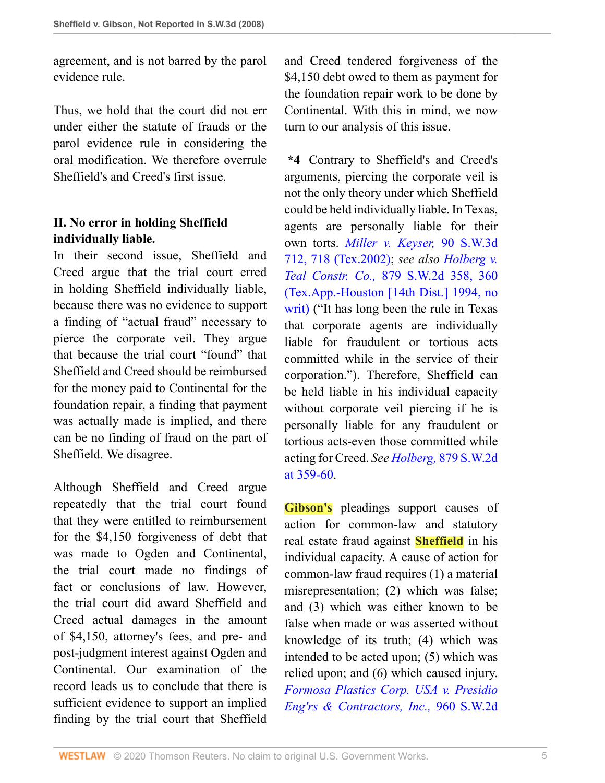agreement, and is not barred by the parol evidence rule.

Thus, we hold that the court did not err under either the statute of frauds or the parol evidence rule in considering the oral modification. We therefore overrule Sheffield's and Creed's first issue.

# **II. No error in holding Sheffield individually liable.**

In their second issue, Sheffield and Creed argue that the trial court erred in holding Sheffield individually liable, because there was no evidence to support a finding of "actual fraud" necessary to pierce the corporate veil. They argue that because the trial court "found" that Sheffield and Creed should be reimbursed for the money paid to Continental for the foundation repair, a finding that payment was actually made is implied, and there can be no finding of fraud on the part of Sheffield. We disagree.

Although Sheffield and Creed argue repeatedly that the trial court found that they were entitled to reimbursement for the \$4,150 forgiveness of debt that was made to Ogden and Continental, the trial court made no findings of fact or conclusions of law. However, the trial court did award Sheffield and Creed actual damages in the amount of \$4,150, attorney's fees, and pre- and post-judgment interest against Ogden and Continental. Our examination of the record leads us to conclude that there is sufficient evidence to support an implied finding by the trial court that Sheffield

and Creed tendered forgiveness of the \$4,150 debt owed to them as payment for the foundation repair work to be done by Continental. With this in mind, we now turn to our analysis of this issue.

**\*4** Contrary to Sheffield's and Creed's arguments, piercing the corporate veil is not the only theory under which Sheffield could be held individually liable. In Texas, agents are personally liable for their own torts. *[Miller v. Keyser,](http://www.westlaw.com/Link/Document/FullText?findType=Y&serNum=2002704845&pubNum=4644&originatingDoc=I5f17a3c6ca8811dc8dba9deb08599717&refType=RP&fi=co_pp_sp_4644_718&originationContext=document&vr=3.0&rs=cblt1.0&transitionType=DocumentItem&contextData=(sc.Search)#co_pp_sp_4644_718)* 90 S.W.3d [712, 718 \(Tex.2002\)](http://www.westlaw.com/Link/Document/FullText?findType=Y&serNum=2002704845&pubNum=4644&originatingDoc=I5f17a3c6ca8811dc8dba9deb08599717&refType=RP&fi=co_pp_sp_4644_718&originationContext=document&vr=3.0&rs=cblt1.0&transitionType=DocumentItem&contextData=(sc.Search)#co_pp_sp_4644_718); *see also [Holberg v.](http://www.westlaw.com/Link/Document/FullText?findType=Y&serNum=1994131706&pubNum=713&originatingDoc=I5f17a3c6ca8811dc8dba9deb08599717&refType=RP&fi=co_pp_sp_713_360&originationContext=document&vr=3.0&rs=cblt1.0&transitionType=DocumentItem&contextData=(sc.Search)#co_pp_sp_713_360) Teal Constr. Co.,* [879 S.W.2d 358, 360](http://www.westlaw.com/Link/Document/FullText?findType=Y&serNum=1994131706&pubNum=713&originatingDoc=I5f17a3c6ca8811dc8dba9deb08599717&refType=RP&fi=co_pp_sp_713_360&originationContext=document&vr=3.0&rs=cblt1.0&transitionType=DocumentItem&contextData=(sc.Search)#co_pp_sp_713_360) [\(Tex.App.-Houston \[14th Dist.\] 1994, no](http://www.westlaw.com/Link/Document/FullText?findType=Y&serNum=1994131706&pubNum=713&originatingDoc=I5f17a3c6ca8811dc8dba9deb08599717&refType=RP&fi=co_pp_sp_713_360&originationContext=document&vr=3.0&rs=cblt1.0&transitionType=DocumentItem&contextData=(sc.Search)#co_pp_sp_713_360) [writ\)](http://www.westlaw.com/Link/Document/FullText?findType=Y&serNum=1994131706&pubNum=713&originatingDoc=I5f17a3c6ca8811dc8dba9deb08599717&refType=RP&fi=co_pp_sp_713_360&originationContext=document&vr=3.0&rs=cblt1.0&transitionType=DocumentItem&contextData=(sc.Search)#co_pp_sp_713_360) ("It has long been the rule in Texas that corporate agents are individually liable for fraudulent or tortious acts committed while in the service of their corporation."). Therefore, Sheffield can be held liable in his individual capacity without corporate veil piercing if he is personally liable for any fraudulent or tortious acts-even those committed while acting for Creed. *See Holberg,* [879 S.W.2d](http://www.westlaw.com/Link/Document/FullText?findType=Y&serNum=1994131706&pubNum=713&originatingDoc=I5f17a3c6ca8811dc8dba9deb08599717&refType=RP&fi=co_pp_sp_713_359&originationContext=document&vr=3.0&rs=cblt1.0&transitionType=DocumentItem&contextData=(sc.Search)#co_pp_sp_713_359) [at 359-60](http://www.westlaw.com/Link/Document/FullText?findType=Y&serNum=1994131706&pubNum=713&originatingDoc=I5f17a3c6ca8811dc8dba9deb08599717&refType=RP&fi=co_pp_sp_713_359&originationContext=document&vr=3.0&rs=cblt1.0&transitionType=DocumentItem&contextData=(sc.Search)#co_pp_sp_713_359).

**Gibson's** pleadings support causes of action for common-law and statutory real estate fraud against **Sheffield** in his individual capacity. A cause of action for common-law fraud requires (1) a material misrepresentation; (2) which was false; and (3) which was either known to be false when made or was asserted without knowledge of its truth; (4) which was intended to be acted upon; (5) which was relied upon; and (6) which caused injury. *[Formosa Plastics Corp. USA v. Presidio](http://www.westlaw.com/Link/Document/FullText?findType=Y&serNum=1998036782&pubNum=713&originatingDoc=I5f17a3c6ca8811dc8dba9deb08599717&refType=RP&fi=co_pp_sp_713_47&originationContext=document&vr=3.0&rs=cblt1.0&transitionType=DocumentItem&contextData=(sc.Search)#co_pp_sp_713_47) [Eng'rs & Contractors, Inc.,](http://www.westlaw.com/Link/Document/FullText?findType=Y&serNum=1998036782&pubNum=713&originatingDoc=I5f17a3c6ca8811dc8dba9deb08599717&refType=RP&fi=co_pp_sp_713_47&originationContext=document&vr=3.0&rs=cblt1.0&transitionType=DocumentItem&contextData=(sc.Search)#co_pp_sp_713_47)* 960 S.W.2d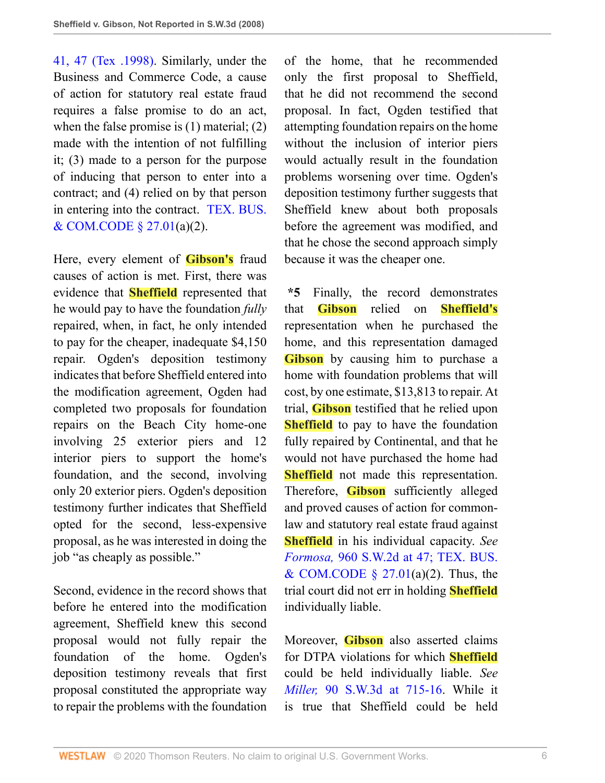[41, 47 \(Tex .1998\).](http://www.westlaw.com/Link/Document/FullText?findType=Y&serNum=1998036782&pubNum=713&originatingDoc=I5f17a3c6ca8811dc8dba9deb08599717&refType=RP&fi=co_pp_sp_713_47&originationContext=document&vr=3.0&rs=cblt1.0&transitionType=DocumentItem&contextData=(sc.Search)#co_pp_sp_713_47) Similarly, under the Business and Commerce Code, a cause of action for statutory real estate fraud requires a false promise to do an act, when the false promise is (1) material; (2) made with the intention of not fulfilling it; (3) made to a person for the purpose of inducing that person to enter into a contract; and (4) relied on by that person in entering into the contract. [TEX. BUS.](http://www.westlaw.com/Link/Document/FullText?findType=L&pubNum=1000168&cite=TXBCS27.01&originatingDoc=I5f17a3c6ca8811dc8dba9deb08599717&refType=LQ&originationContext=document&vr=3.0&rs=cblt1.0&transitionType=DocumentItem&contextData=(sc.Search)) [& COM.CODE § 27.01\(](http://www.westlaw.com/Link/Document/FullText?findType=L&pubNum=1000168&cite=TXBCS27.01&originatingDoc=I5f17a3c6ca8811dc8dba9deb08599717&refType=LQ&originationContext=document&vr=3.0&rs=cblt1.0&transitionType=DocumentItem&contextData=(sc.Search))a)(2).

Here, every element of **Gibson's** fraud causes of action is met. First, there was evidence that **Sheffield** represented that he would pay to have the foundation *fully* repaired, when, in fact, he only intended to pay for the cheaper, inadequate \$4,150 repair. Ogden's deposition testimony indicates that before Sheffield entered into the modification agreement, Ogden had completed two proposals for foundation repairs on the Beach City home-one involving 25 exterior piers and 12 interior piers to support the home's foundation, and the second, involving only 20 exterior piers. Ogden's deposition testimony further indicates that Sheffield opted for the second, less-expensive proposal, as he was interested in doing the job "as cheaply as possible."

Second, evidence in the record shows that before he entered into the modification agreement, Sheffield knew this second proposal would not fully repair the foundation of the home. Ogden's deposition testimony reveals that first proposal constituted the appropriate way to repair the problems with the foundation of the home, that he recommended only the first proposal to Sheffield, that he did not recommend the second proposal. In fact, Ogden testified that attempting foundation repairs on the home without the inclusion of interior piers would actually result in the foundation problems worsening over time. Ogden's deposition testimony further suggests that Sheffield knew about both proposals before the agreement was modified, and that he chose the second approach simply because it was the cheaper one.

**\*5** Finally, the record demonstrates that **Gibson** relied on **Sheffield's** representation when he purchased the home, and this representation damaged **Gibson** by causing him to purchase a home with foundation problems that will cost, by one estimate, \$13,813 to repair. At trial, **Gibson** testified that he relied upon **Sheffield** to pay to have the foundation fully repaired by Continental, and that he would not have purchased the home had **Sheffield** not made this representation. Therefore, **Gibson** sufficiently alleged and proved causes of action for commonlaw and statutory real estate fraud against **Sheffield** in his individual capacity. *See Formosa,* [960 S.W.2d at 47;](http://www.westlaw.com/Link/Document/FullText?findType=Y&serNum=1998036782&pubNum=713&originatingDoc=I5f17a3c6ca8811dc8dba9deb08599717&refType=RP&fi=co_pp_sp_713_47&originationContext=document&vr=3.0&rs=cblt1.0&transitionType=DocumentItem&contextData=(sc.Search)#co_pp_sp_713_47) [TEX. BUS.](http://www.westlaw.com/Link/Document/FullText?findType=L&pubNum=1000168&cite=TXBCS27.01&originatingDoc=I5f17a3c6ca8811dc8dba9deb08599717&refType=LQ&originationContext=document&vr=3.0&rs=cblt1.0&transitionType=DocumentItem&contextData=(sc.Search)) & COM.CODE  $\S$  27.01(a)(2). Thus, the trial court did not err in holding **Sheffield** individually liable.

Moreover, **Gibson** also asserted claims for DTPA violations for which **Sheffield** could be held individually liable. *See Miller,* [90 S.W.3d at 715-16.](http://www.westlaw.com/Link/Document/FullText?findType=Y&serNum=2002704845&pubNum=4644&originatingDoc=I5f17a3c6ca8811dc8dba9deb08599717&refType=RP&fi=co_pp_sp_4644_715&originationContext=document&vr=3.0&rs=cblt1.0&transitionType=DocumentItem&contextData=(sc.Search)#co_pp_sp_4644_715) While it is true that Sheffield could be held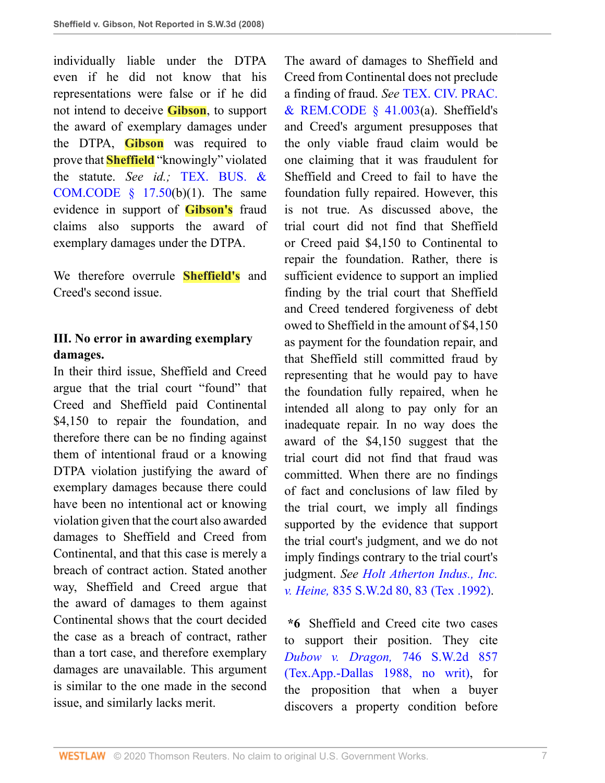individually liable under the DTPA even if he did not know that his representations were false or if he did not intend to deceive **Gibson**, to support the award of exemplary damages under the DTPA, **Gibson** was required to prove that **Sheffield** "knowingly" violated the statute. *See id.;* [TEX. BUS. &](http://www.westlaw.com/Link/Document/FullText?findType=L&pubNum=1000168&cite=TXBCS17.50&originatingDoc=I5f17a3c6ca8811dc8dba9deb08599717&refType=LQ&originationContext=document&vr=3.0&rs=cblt1.0&transitionType=DocumentItem&contextData=(sc.Search)) COM.CODE  $§$  17.50(b)(1). The same evidence in support of **Gibson's** fraud claims also supports the award of exemplary damages under the DTPA.

We therefore overrule **Sheffield's** and Creed's second issue.

#### **III. No error in awarding exemplary damages.**

In their third issue, Sheffield and Creed argue that the trial court "found" that Creed and Sheffield paid Continental \$4,150 to repair the foundation, and therefore there can be no finding against them of intentional fraud or a knowing DTPA violation justifying the award of exemplary damages because there could have been no intentional act or knowing violation given that the court also awarded damages to Sheffield and Creed from Continental, and that this case is merely a breach of contract action. Stated another way, Sheffield and Creed argue that the award of damages to them against Continental shows that the court decided the case as a breach of contract, rather than a tort case, and therefore exemplary damages are unavailable. This argument is similar to the one made in the second issue, and similarly lacks merit.

The award of damages to Sheffield and Creed from Continental does not preclude a finding of fraud. *See* [TEX. CIV. PRAC.](http://www.westlaw.com/Link/Document/FullText?findType=L&pubNum=1000170&cite=TXCPS41.003&originatingDoc=I5f17a3c6ca8811dc8dba9deb08599717&refType=LQ&originationContext=document&vr=3.0&rs=cblt1.0&transitionType=DocumentItem&contextData=(sc.Search))  $&$  REM.CODE  $\frac{1}{2}$  41.003(a). Sheffield's and Creed's argument presupposes that the only viable fraud claim would be one claiming that it was fraudulent for Sheffield and Creed to fail to have the foundation fully repaired. However, this is not true. As discussed above, the trial court did not find that Sheffield or Creed paid \$4,150 to Continental to repair the foundation. Rather, there is sufficient evidence to support an implied finding by the trial court that Sheffield and Creed tendered forgiveness of debt owed to Sheffield in the amount of \$4,150 as payment for the foundation repair, and that Sheffield still committed fraud by representing that he would pay to have the foundation fully repaired, when he intended all along to pay only for an inadequate repair. In no way does the award of the \$4,150 suggest that the trial court did not find that fraud was committed. When there are no findings of fact and conclusions of law filed by the trial court, we imply all findings supported by the evidence that support the trial court's judgment, and we do not imply findings contrary to the trial court's judgment. *See [Holt Atherton Indus., Inc.](http://www.westlaw.com/Link/Document/FullText?findType=Y&serNum=1992110723&pubNum=713&originatingDoc=I5f17a3c6ca8811dc8dba9deb08599717&refType=RP&fi=co_pp_sp_713_83&originationContext=document&vr=3.0&rs=cblt1.0&transitionType=DocumentItem&contextData=(sc.Search)#co_pp_sp_713_83) v. Heine,* [835 S.W.2d 80, 83 \(Tex .1992\).](http://www.westlaw.com/Link/Document/FullText?findType=Y&serNum=1992110723&pubNum=713&originatingDoc=I5f17a3c6ca8811dc8dba9deb08599717&refType=RP&fi=co_pp_sp_713_83&originationContext=document&vr=3.0&rs=cblt1.0&transitionType=DocumentItem&contextData=(sc.Search)#co_pp_sp_713_83)

**\*6** Sheffield and Creed cite two cases to support their position. They cite *[Dubow v. Dragon,](http://www.westlaw.com/Link/Document/FullText?findType=Y&serNum=1988045090&pubNum=713&originatingDoc=I5f17a3c6ca8811dc8dba9deb08599717&refType=RP&originationContext=document&vr=3.0&rs=cblt1.0&transitionType=DocumentItem&contextData=(sc.Search))* 746 S.W.2d 857 [\(Tex.App.-Dallas 1988, no writ\),](http://www.westlaw.com/Link/Document/FullText?findType=Y&serNum=1988045090&pubNum=713&originatingDoc=I5f17a3c6ca8811dc8dba9deb08599717&refType=RP&originationContext=document&vr=3.0&rs=cblt1.0&transitionType=DocumentItem&contextData=(sc.Search)) for the proposition that when a buyer discovers a property condition before